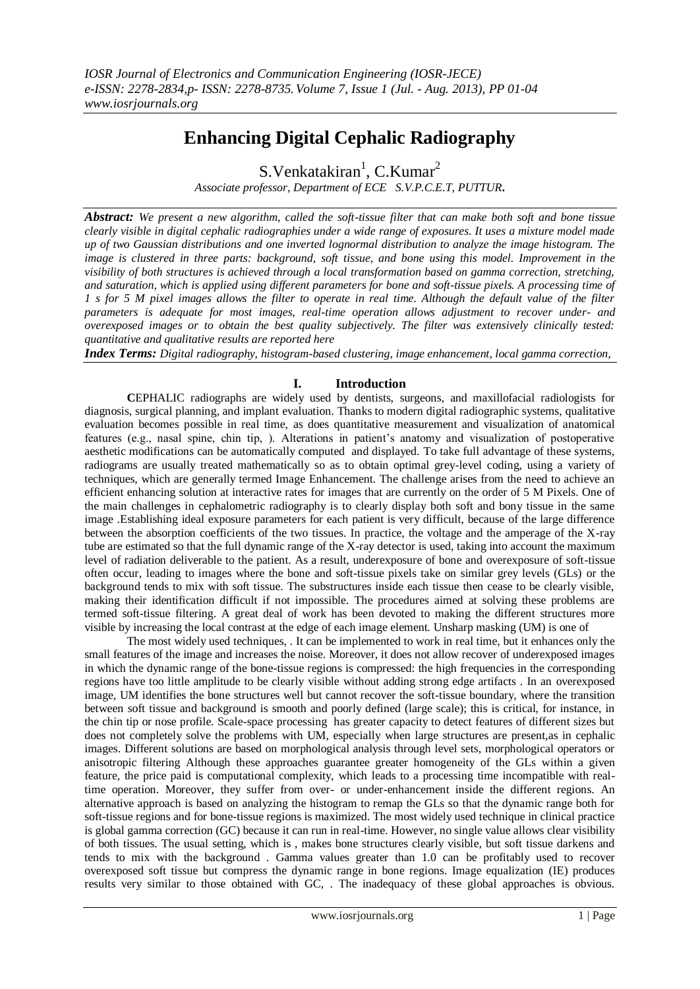# **Enhancing Digital Cephalic Radiography**

S. Venkatakiran<sup>1</sup>, C. Kumar<sup>2</sup>

*Associate professor, Department of ECE S.V.P.C.E.T, PUTTUR***.**

*Abstract: We present a new algorithm, called the soft-tissue filter that can make both soft and bone tissue clearly visible in digital cephalic radiographies under a wide range of exposures. It uses a mixture model made up of two Gaussian distributions and one inverted lognormal distribution to analyze the image histogram. The image is clustered in three parts: background, soft tissue, and bone using this model. Improvement in the visibility of both structures is achieved through a local transformation based on gamma correction, stretching, and saturation, which is applied using different parameters for bone and soft-tissue pixels. A processing time of 1 s for 5 M pixel images allows the filter to operate in real time. Although the default value of the filter parameters is adequate for most images, real-time operation allows adjustment to recover under- and overexposed images or to obtain the best quality subjectively. The filter was extensively clinically tested: quantitative and qualitative results are reported here*

*Index Terms: Digital radiography, histogram-based clustering, image enhancement, local gamma correction,*

## **I. Introduction**

**C**EPHALIC radiographs are widely used by dentists, surgeons, and maxillofacial radiologists for diagnosis, surgical planning, and implant evaluation. Thanks to modern digital radiographic systems, qualitative evaluation becomes possible in real time, as does quantitative measurement and visualization of anatomical features (e.g., nasal spine, chin tip, ). Alterations in patient's anatomy and visualization of postoperative aesthetic modifications can be automatically computed and displayed. To take full advantage of these systems, radiograms are usually treated mathematically so as to obtain optimal grey-level coding, using a variety of techniques, which are generally termed Image Enhancement. The challenge arises from the need to achieve an efficient enhancing solution at interactive rates for images that are currently on the order of 5 M Pixels. One of the main challenges in cephalometric radiography is to clearly display both soft and bony tissue in the same image .Establishing ideal exposure parameters for each patient is very difficult, because of the large difference between the absorption coefficients of the two tissues. In practice, the voltage and the amperage of the X-ray tube are estimated so that the full dynamic range of the X-ray detector is used, taking into account the maximum level of radiation deliverable to the patient. As a result, underexposure of bone and overexposure of soft-tissue often occur, leading to images where the bone and soft-tissue pixels take on similar grey levels (GLs) or the background tends to mix with soft tissue. The substructures inside each tissue then cease to be clearly visible, making their identification difficult if not impossible. The procedures aimed at solving these problems are termed soft-tissue filtering. A great deal of work has been devoted to making the different structures more visible by increasing the local contrast at the edge of each image element. Unsharp masking (UM) is one of

The most widely used techniques, . It can be implemented to work in real time, but it enhances only the small features of the image and increases the noise. Moreover, it does not allow recover of underexposed images in which the dynamic range of the bone-tissue regions is compressed: the high frequencies in the corresponding regions have too little amplitude to be clearly visible without adding strong edge artifacts . In an overexposed image, UM identifies the bone structures well but cannot recover the soft-tissue boundary, where the transition between soft tissue and background is smooth and poorly defined (large scale); this is critical, for instance, in the chin tip or nose profile. Scale-space processing has greater capacity to detect features of different sizes but does not completely solve the problems with UM, especially when large structures are present,as in cephalic images. Different solutions are based on morphological analysis through level sets, morphological operators or anisotropic filtering Although these approaches guarantee greater homogeneity of the GLs within a given feature, the price paid is computational complexity, which leads to a processing time incompatible with realtime operation. Moreover, they suffer from over- or under-enhancement inside the different regions. An alternative approach is based on analyzing the histogram to remap the GLs so that the dynamic range both for soft-tissue regions and for bone-tissue regions is maximized. The most widely used technique in clinical practice is global gamma correction (GC) because it can run in real-time. However, no single value allows clear visibility of both tissues. The usual setting, which is , makes bone structures clearly visible, but soft tissue darkens and tends to mix with the background . Gamma values greater than 1.0 can be profitably used to recover overexposed soft tissue but compress the dynamic range in bone regions. Image equalization (IE) produces results very similar to those obtained with GC, . The inadequacy of these global approaches is obvious.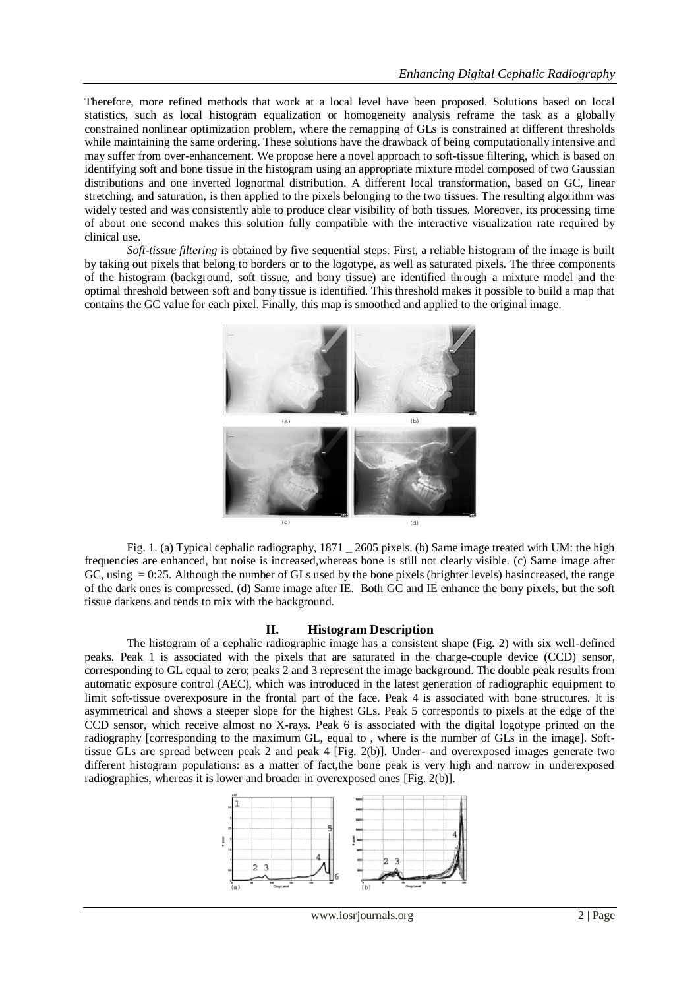Therefore, more refined methods that work at a local level have been proposed. Solutions based on local statistics, such as local histogram equalization or homogeneity analysis reframe the task as a globally constrained nonlinear optimization problem, where the remapping of GLs is constrained at different thresholds while maintaining the same ordering. These solutions have the drawback of being computationally intensive and may suffer from over-enhancement. We propose here a novel approach to soft-tissue filtering, which is based on identifying soft and bone tissue in the histogram using an appropriate mixture model composed of two Gaussian distributions and one inverted lognormal distribution. A different local transformation, based on GC, linear stretching, and saturation, is then applied to the pixels belonging to the two tissues. The resulting algorithm was widely tested and was consistently able to produce clear visibility of both tissues. Moreover, its processing time of about one second makes this solution fully compatible with the interactive visualization rate required by clinical use.

*Soft-tissue filtering* is obtained by five sequential steps. First, a reliable histogram of the image is built by taking out pixels that belong to borders or to the logotype, as well as saturated pixels. The three components of the histogram (background, soft tissue, and bony tissue) are identified through a mixture model and the optimal threshold between soft and bony tissue is identified. This threshold makes it possible to build a map that contains the GC value for each pixel. Finally, this map is smoothed and applied to the original image.



Fig. 1. (a) Typical cephalic radiography, 1871 \_ 2605 pixels. (b) Same image treated with UM: the high frequencies are enhanced, but noise is increased,whereas bone is still not clearly visible. (c) Same image after GC, using = 0:25. Although the number of GLs used by the bone pixels (brighter levels) hasincreased, the range of the dark ones is compressed. (d) Same image after IE. Both GC and IE enhance the bony pixels, but the soft tissue darkens and tends to mix with the background.

#### **II. Histogram Description**

The histogram of a cephalic radiographic image has a consistent shape (Fig. 2) with six well-defined peaks. Peak 1 is associated with the pixels that are saturated in the charge-couple device (CCD) sensor, corresponding to GL equal to zero; peaks 2 and 3 represent the image background. The double peak results from automatic exposure control (AEC), which was introduced in the latest generation of radiographic equipment to limit soft-tissue overexposure in the frontal part of the face. Peak 4 is associated with bone structures. It is asymmetrical and shows a steeper slope for the highest GLs. Peak 5 corresponds to pixels at the edge of the CCD sensor, which receive almost no X-rays. Peak 6 is associated with the digital logotype printed on the radiography [corresponding to the maximum GL, equal to , where is the number of GLs in the image]. Softtissue GLs are spread between peak 2 and peak 4 [Fig. 2(b)]. Under- and overexposed images generate two different histogram populations: as a matter of fact,the bone peak is very high and narrow in underexposed radiographies, whereas it is lower and broader in overexposed ones [Fig. 2(b)].

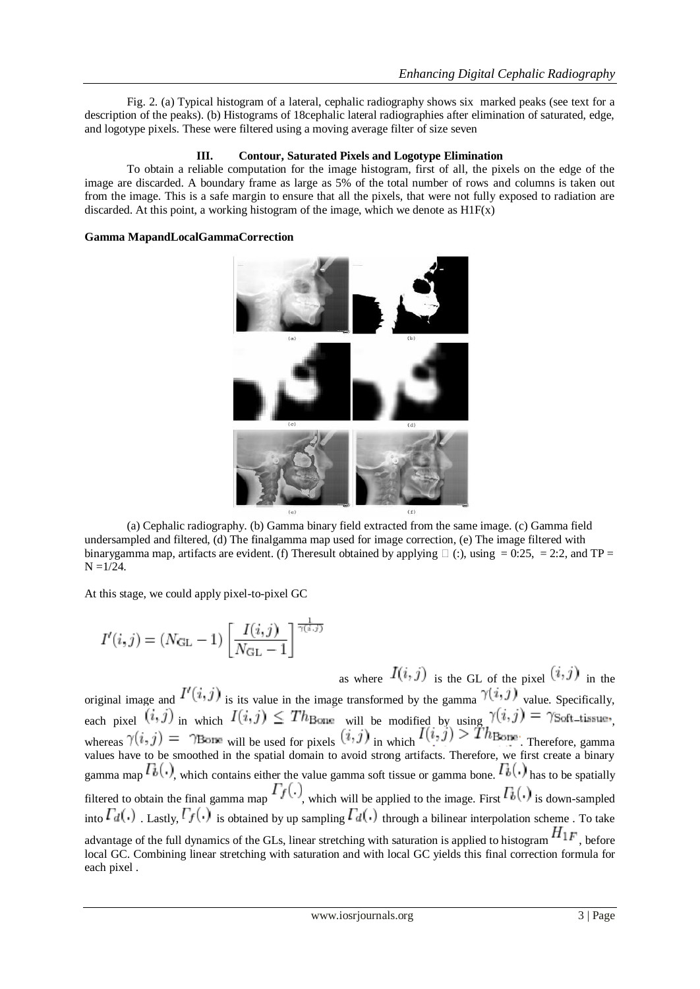Fig. 2. (a) Typical histogram of a lateral, cephalic radiography shows six marked peaks (see text for a description of the peaks). (b) Histograms of 18cephalic lateral radiographies after elimination of saturated, edge, and logotype pixels. These were filtered using a moving average filter of size seven

#### **III. Contour, Saturated Pixels and Logotype Elimination**

To obtain a reliable computation for the image histogram, first of all, the pixels on the edge of the image are discarded. A boundary frame as large as 5% of the total number of rows and columns is taken out from the image. This is a safe margin to ensure that all the pixels, that were not fully exposed to radiation are discarded. At this point, a working histogram of the image, which we denote as  $H1F(x)$ 

#### **Gamma MapandLocalGammaCorrection**



(a) Cephalic radiography. (b) Gamma binary field extracted from the same image. (c) Gamma field undersampled and filtered, (d) The finalgamma map used for image correction, (e) The image filtered with binarygamma map, artifacts are evident. (f) Theresult obtained by applying  $\Box$  (:), using = 0:25, = 2:2, and TP =  $N = 1/24$ .

At this stage, we could apply pixel-to-pixel GC

$$
I'(i,j) = (N_{\rm GL} - 1) \left[ \frac{I(i,j)}{N_{\rm GL} - 1} \right]^{\frac{1}{\gamma(i,j)}}
$$
  

$$
I(i,j) = (N_{\rm GL} - 1) \left[ \frac{I(i,j)}{N_{\rm GL} - 1} \right]
$$

as where  $I(i, j)$  is the GL of the pixel  $(i, j)$  in the original image and  $I'(i, j)$  is its value in the image transformed by the gamma  $\gamma(i, j)$  value. Specifically, each pixel  $\binom{n}{y}$  in which  $I(x,y) \geq I^n$ Bone will be modified by using  $I(x,y) = I^n$ Soft-tissue, whereas  $\gamma(i, j)$  =  $\gamma$ Bone will be used for pixels  $(i, j)$  in which  $(i, j)$  =  $i$   $\gamma$   $\gamma$ . Therefore, gamma values have to be smoothed in the spatial domain to avoid strong artifacts. Therefore, we first create a binary gamma map  $T_b(.)$ , which contains either the value gamma soft tissue or gamma bone.  $T_b(.)$  has to be spatially filtered to obtain the final gamma map  $T_f(.)$ , which will be applied to the image. First  $T_b(.)$  is down-sampled into  $\Gamma_d(.)$ . Lastly,  $\Gamma_f(.)$  is obtained by up sampling  $\Gamma_d(.)$  through a bilinear interpolation scheme. To take advantage of the full dynamics of the GLs, linear stretching with saturation is applied to histogram  $H_{1F}$ , before local GC. Combining linear stretching with saturation and with local GC yields this final correction formula for each pixel .